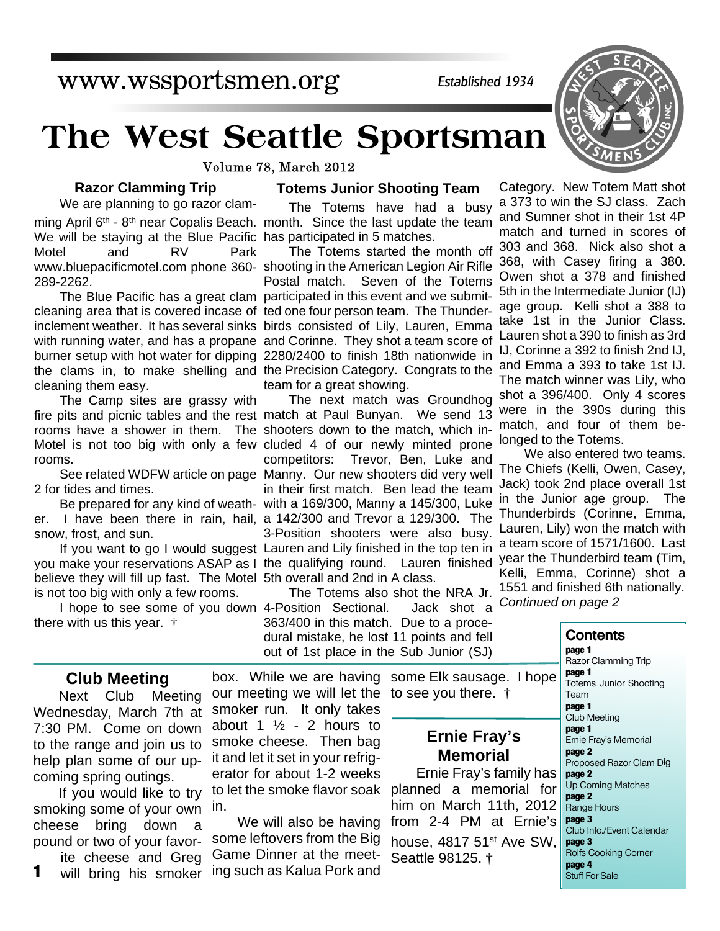www.wssportsmen.org

*Established 1934*

# **The West Seattle Sportsman**

Volume 78, March 2012

### **Razor Clamming Trip**

We will be staying at the Blue Pacific has participated in 5 matches. We are planning to go razor clam-Motel and RV Park 289-2262.

cleaning them easy.

The Camp sites are grassy with rooms.

2 for tides and times.

snow, frost, and sun.

believe they will fill up fast. The Motel 5th overall and 2nd in A class. is not too big with only a few rooms.

there with us this year. †

#### **Totems Junior Shooting Team**

The Totems have had a busy ming April 6<sup>th</sup> - 8<sup>th</sup> near Copalis Beach. month. Since the last update the team

The Totems started the month off www.bluepacificmotel.com phone 360- shooting in the American Legion Air Rifle Postal match. Seven of the Totems The Blue Pacific has a great clam participated in this event and we submitcleaning area that is covered incase of ted one four person team. The Thunderinclement weather. It has several sinks birds consisted of Lily, Lauren, Emma with running water, and has a propane and Corinne. They shot a team score of burner setup with hot water for dipping 2280/2400 to finish 18th nationwide in the clams in, to make shelling and the Precision Category. Congrats to the team for a great showing.

The next match was Groundhog fire pits and picnic tables and the rest match at Paul Bunyan. We send 13 rooms have a shower in them. The shooters down to the match, which in-Motel is not too big with only a few cluded 4 of our newly minted prone competitors: Trevor, Ben, Luke and See related WDFW article on page Manny. Our new shooters did very well in their first match. Ben lead the team Be prepared for any kind of weath- with a 169/300, Manny a 145/300, Luke er. I have been there in rain, hail, a 142/300 and Trevor a 129/300. The 3-Position shooters were also busy. If you want to go I would suggest Lauren and Lily finished in the top ten in you make your reservations ASAP as I the qualifying round. Lauren finished

The Totems also shot the NRA Jr. I hope to see some of you down 4-Position Sectional. Jack shot a 363/400 in this match. Due to a procedural mistake, he lost 11 points and fell out of 1st place in the Sub Junior (SJ)

Category. New Totem Matt shot a 373 to win the SJ class. Zach and Sumner shot in their 1st 4P match and turned in scores of 303 and 368. Nick also shot a 368, with Casey firing a 380. Owen shot a 378 and finished 5th in the Intermediate Junior (IJ) age group. Kelli shot a 388 to take 1st in the Junior Class. Lauren shot a 390 to finish as 3rd IJ, Corinne a 392 to finish 2nd IJ, and Emma a 393 to take 1st IJ. The match winner was Lily, who shot a 396/400. Only 4 scores were in the 390s during this match, and four of them belonged to the Totems.

We also entered two teams. The Chiefs (Kelli, Owen, Casey, Jack) took 2nd place overall 1st in the Junior age group. The Thunderbirds (Corinne, Emma, Lauren, Lily) won the match with a team score of 1571/1600. Last year the Thunderbird team (Tim, Kelli, Emma, Corinne) shot a 1551 and finished 6th nationally. *Continued on page 2*

**Contents**

#### **Club Meeting**

Next Club Meeting Wednesday, March 7th at 7:30 PM. Come on down to the range and join us to help plan some of our upcoming spring outings.

If you would like to try smoking some of your own cheese bring down a pound or two of your favorite cheese and Greg

will bring his smoker **1**

box. While we are having some Elk sausage. I hope our meeting we will let the to see you there. † smoker run. It only takes

> **Ernie Fray's Memorial**

to let the smoke flavor soak Ernie Fray's family has planned a memorial for him on March 11th, 2012 from 2-4 PM at Ernie's house,  $4817$  51st Ave SW, Seattle 98125. †



**page 1** Razor Clamming Trip **page 1** Totems Junior Shooting Team **page 1** Club Meeting **page 1** Ernie Fray's Memorial **page 2** Proposed Razor Clam Dig **page 2** Up Coming Matches **page 2** Range Hours **page 3** Club Info./Event Calendar **page 3** Rolfs Cooking Corner

**page 4** Stuff For Sale

in. We will also be having

some leftovers from the Big Game Dinner at the meeting such as Kalua Pork and

about 1  $\frac{1}{2}$  - 2 hours to smoke cheese. Then bag it and let it set in your refrigerator for about 1-2 weeks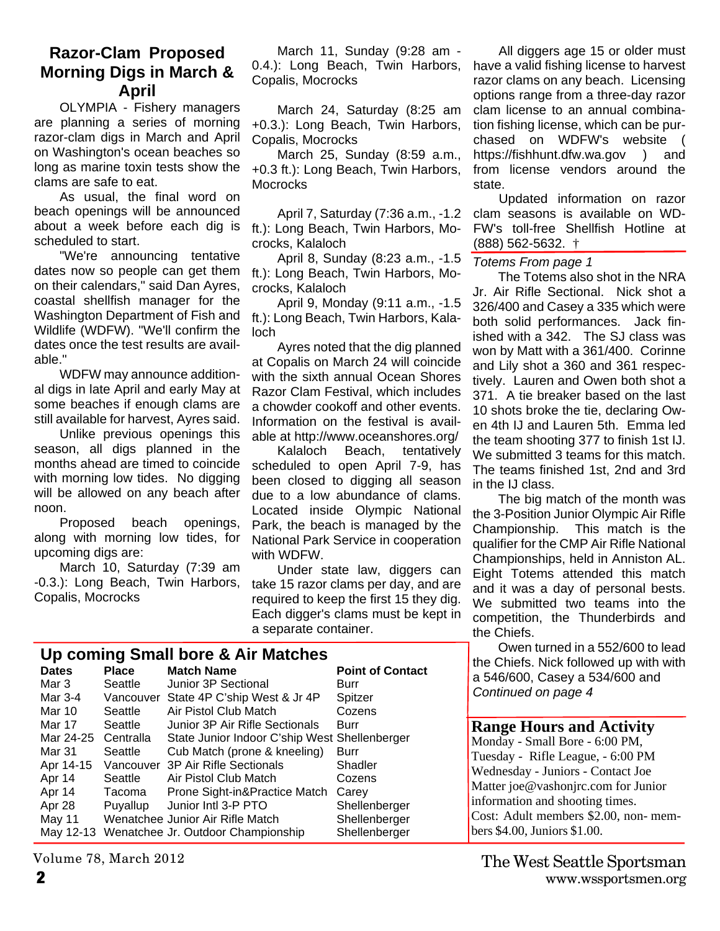# **Razor-Clam Proposed Morning Digs in March & April**

OLYMPIA - Fishery managers are planning a series of morning razor-clam digs in March and April on Washington's ocean beaches so long as marine toxin tests show the clams are safe to eat.

As usual, the final word on beach openings will be announced about a week before each dig is scheduled to start.

"We're announcing tentative dates now so people can get them on their calendars," said Dan Ayres, coastal shellfish manager for the Washington Department of Fish and Wildlife (WDFW). "We'll confirm the dates once the test results are available."

WDFW may announce additional digs in late April and early May at some beaches if enough clams are still available for harvest, Ayres said.

Unlike previous openings this season, all digs planned in the months ahead are timed to coincide with morning low tides. No digging will be allowed on any beach after noon.

Proposed beach openings, along with morning low tides, for upcoming digs are:

March 10, Saturday (7:39 am -0.3.): Long Beach, Twin Harbors, Copalis, Mocrocks

March 11, Sunday (9:28 am - 0.4.): Long Beach, Twin Harbors, Copalis, Mocrocks

March 24, Saturday (8:25 am +0.3.): Long Beach, Twin Harbors, Copalis, Mocrocks

March 25, Sunday (8:59 a.m., +0.3 ft.): Long Beach, Twin Harbors, **Mocrocks** 

April 7, Saturday (7:36 a.m., -1.2 ft.): Long Beach, Twin Harbors, Mocrocks, Kalaloch

April 8, Sunday (8:23 a.m., -1.5 ft.): Long Beach, Twin Harbors, Mocrocks, Kalaloch

April 9, Monday (9:11 a.m., -1.5 ft.): Long Beach, Twin Harbors, Kalaloch

Ayres noted that the dig planned at Copalis on March 24 will coincide with the sixth annual Ocean Shores Razor Clam Festival, which includes a chowder cookoff and other events. Information on the festival is available at http://www.oceanshores.org/

Kalaloch Beach, tentatively scheduled to open April 7-9, has been closed to digging all season due to a low abundance of clams. Located inside Olympic National Park, the beach is managed by the National Park Service in cooperation with WDFW.

Under state law, diggers can take 15 razor clams per day, and are required to keep the first 15 they dig. Each digger's clams must be kept in a separate container.

All diggers age 15 or older must have a valid fishing license to harvest razor clams on any beach. Licensing options range from a three-day razor clam license to an annual combination fishing license, which can be purchased on WDFW's website ( https://fishhunt.dfw.wa.gov ) and from license vendors around the state.

Updated information on razor clam seasons is available on WD-FW's toll-free Shellfish Hotline at (888) 562-5632. †

#### *Totems From page 1*

The Totems also shot in the NRA Jr. Air Rifle Sectional. Nick shot a 326/400 and Casey a 335 which were both solid performances. Jack finished with a 342. The SJ class was won by Matt with a 361/400. Corinne and Lily shot a 360 and 361 respectively. Lauren and Owen both shot a 371. A tie breaker based on the last 10 shots broke the tie, declaring Owen 4th IJ and Lauren 5th. Emma led the team shooting 377 to finish 1st IJ. We submitted 3 teams for this match. The teams finished 1st, 2nd and 3rd in the IJ class.

The big match of the month was the 3-Position Junior Olympic Air Rifle Championship. This match is the qualifier for the CMP Air Rifle National Championships, held in Anniston AL. Eight Totems attended this match and it was a day of personal bests. We submitted two teams into the competition, the Thunderbirds and the Chiefs.

Owen turned in a 552/600 to lead the Chiefs. Nick followed up with with a 546/600, Casey a 534/600 and *Continued on page 4*

### **Range Hours and Activity**

Monday - Small Bore - 6:00 PM, Tuesday - Rifle League, - 6:00 PM Wednesday - Juniors - Contact Joe Matter joe@vashonjrc.com for Junior information and shooting times. Cost: Adult members \$2.00, non- members \$4.00, Juniors \$1.00.

| Up coming Small bore & Air Matches |              |                                               |                         |  |  |  |  |  |
|------------------------------------|--------------|-----------------------------------------------|-------------------------|--|--|--|--|--|
| <b>Dates</b>                       | <b>Place</b> | <b>Match Name</b>                             | <b>Point of Contact</b> |  |  |  |  |  |
| Mar 3                              | Seattle      | Junior 3P Sectional                           | Burr                    |  |  |  |  |  |
| Mar 3-4                            |              | Vancouver State 4P C'ship West & Jr 4P        | Spitzer                 |  |  |  |  |  |
| Mar 10                             | Seattle      | Air Pistol Club Match                         | Cozens                  |  |  |  |  |  |
| Mar 17                             | Seattle      | Junior 3P Air Rifle Sectionals                | Burr                    |  |  |  |  |  |
| Mar 24-25                          | Centralla    | State Junior Indoor C'ship West Shellenberger |                         |  |  |  |  |  |
| Mar 31                             | Seattle      | Cub Match (prone & kneeling)                  | Burr                    |  |  |  |  |  |
| Apr 14-15                          |              | Vancouver 3P Air Rifle Sectionals             | Shadler                 |  |  |  |  |  |
| Apr 14                             | Seattle      | Air Pistol Club Match                         | Cozens                  |  |  |  |  |  |
| Apr 14                             | Tacoma       | Prone Sight-in&Practice Match                 | Carey                   |  |  |  |  |  |
| Apr 28                             | Puyallup     | Junior Intl 3-P PTO                           | Shellenberger           |  |  |  |  |  |
| May 11                             |              | Wenatchee Junior Air Rifle Match              | Shellenberger           |  |  |  |  |  |
|                                    |              | May 12-13 Wenatchee Jr. Outdoor Championship  | Shellenberger           |  |  |  |  |  |

Volume 78, March 2012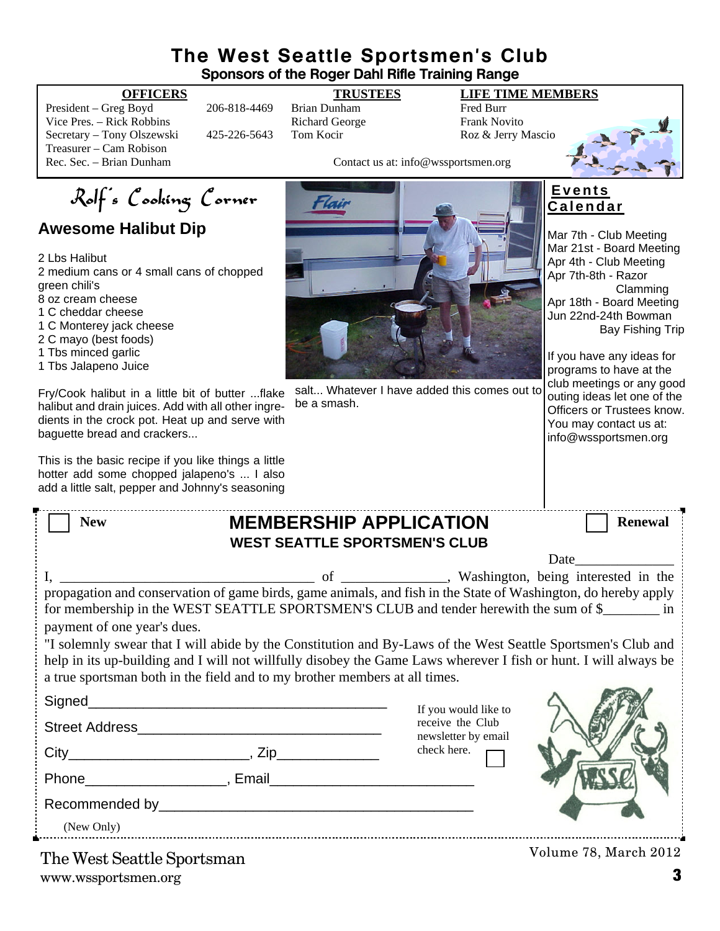# **The West Seattle Sportsmen's Club Sponsors of the Roger Dahl Rifle Training Range**

President – Greg Boyd 206-818-4469 Brian Dunham Fred Burr Vice Pres. – Rick Robbins **Richard George** Frank Novito Secretary – Tony Olszewski 425-226-5643 Tom Kocir Roz & Jerry Mascio Treasurer – Cam Robison<br>Rec. Sec. – Brian Dunham

# **OFFICERS TRUSTEES LIFE TIME MEMBERS**

Contact us at: info@wssportsmen.org



# **Awesome Halibut Dip**

2 Lbs Halibut 2 medium cans or 4 small cans of chopped green chili's 8 oz cream cheese 1 C cheddar cheese 1 C Monterey jack cheese

2 C mayo (best foods)

1 Tbs minced garlic

1 Tbs Jalapeno Juice

Fry/Cook halibut in a little bit of butter ...flake halibut and drain juices. Add with all other ingredients in the crock pot. Heat up and serve with baguette bread and crackers...

This is the basic recipe if you like things a little hotter add some chopped jalapeno's ... I also add a little salt, pepper and Johnny's seasoning

| Flair |  |  |
|-------|--|--|
|       |  |  |
|       |  |  |
|       |  |  |
|       |  |  |

salt... Whatever I have added this comes out to be a smash.

## **E v e n t s C a l e n d a r**

Mar 7th - Club Meeting Mar 21st - Board Meeting Apr 4th - Club Meeting Apr 7th-8th - Razor Clamming Apr 18th - Board Meeting Jun 22nd-24th Bowman Bay Fishing Trip

If you have any ideas for programs to have at the club meetings or any good outing ideas let one of the Officers or Trustees know. You may contact us at: info@wssportsmen.org

| <b>New</b>                                                                                                                                                                                              |  | <b>MEMBERSHIP APPLICATION</b>           | <b>Renewal</b>        |  |  |  |
|---------------------------------------------------------------------------------------------------------------------------------------------------------------------------------------------------------|--|-----------------------------------------|-----------------------|--|--|--|
| <b>WEST SEATTLE SPORTSMEN'S CLUB</b>                                                                                                                                                                    |  |                                         |                       |  |  |  |
|                                                                                                                                                                                                         |  |                                         | Date                  |  |  |  |
|                                                                                                                                                                                                         |  |                                         |                       |  |  |  |
| propagation and conservation of game birds, game animals, and fish in the State of Washington, do hereby apply<br>for membership in the WEST SEATTLE SPORTSMEN'S CLUB and tender herewith the sum of \$ |  |                                         |                       |  |  |  |
| payment of one year's dues.                                                                                                                                                                             |  |                                         |                       |  |  |  |
| "I solemnly swear that I will abide by the Constitution and By-Laws of the West Seattle Sportsmen's Club and                                                                                            |  |                                         |                       |  |  |  |
| help in its up-building and I will not willfully disobey the Game Laws wherever I fish or hunt. I will always be                                                                                        |  |                                         |                       |  |  |  |
| a true sportsman both in the field and to my brother members at all times.                                                                                                                              |  |                                         |                       |  |  |  |
|                                                                                                                                                                                                         |  | If you would like to                    |                       |  |  |  |
|                                                                                                                                                                                                         |  | receive the Club<br>newsletter by email |                       |  |  |  |
| $City$ $City$ $Zip$                                                                                                                                                                                     |  | check here.                             |                       |  |  |  |
|                                                                                                                                                                                                         |  |                                         |                       |  |  |  |
|                                                                                                                                                                                                         |  |                                         |                       |  |  |  |
| (New Only)                                                                                                                                                                                              |  |                                         |                       |  |  |  |
| The West Secttle Sportamen                                                                                                                                                                              |  |                                         | Volume 78, March 2012 |  |  |  |

www.wssportsmen.org **3** The West Seattle Sportsman